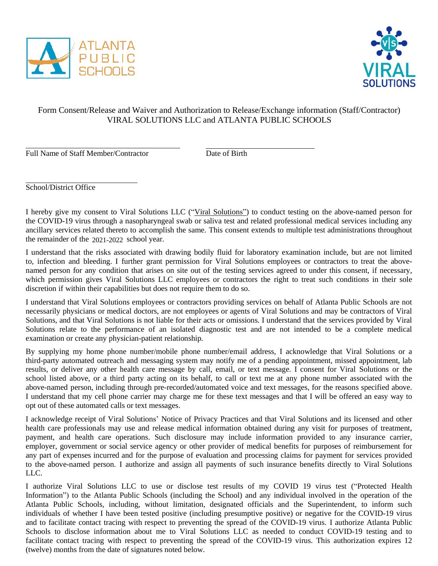



## Form Consent/Release and Waiver and Authorization to Release/Exchange information (Staff/Contractor) VIRAL SOLUTIONS LLC and ATLANTA PUBLIC SCHOOLS

Full Name of Staff Member/Contractor Date of Birth

School/District Office

I hereby give my consent to Viral Solutions LLC ("Viral Solutions") to conduct testing on the above-named person for the COVID-19 virus through a nasopharyngeal swab or saliva test and related professional medical services including any ancillary services related thereto to accomplish the same. This consent extends to multiple test administrations throughout the remainder of the 2021-2022 school year.

I understand that the risks associated with drawing bodily fluid for laboratory examination include, but are not limited to, infection and bleeding. I further grant permission for Viral Solutions employees or contractors to treat the abovenamed person for any condition that arises on site out of the testing services agreed to under this consent, if necessary, which permission gives Viral Solutions LLC employees or contractors the right to treat such conditions in their sole discretion if within their capabilities but does not require them to do so.

I understand that Viral Solutions employees or contractors providing services on behalf of Atlanta Public Schools are not necessarily physicians or medical doctors, are not employees or agents of Viral Solutions and may be contractors of Viral Solutions, and that Viral Solutions is not liable for their acts or omissions. I understand that the services provided by Viral Solutions relate to the performance of an isolated diagnostic test and are not intended to be a complete medical examination or create any physician-patient relationship.

By supplying my home phone number/mobile phone number/email address, I acknowledge that Viral Solutions or a third-party automated outreach and messaging system may notify me of a pending appointment, missed appointment, lab results, or deliver any other health care message by call, email, or text message. I consent for Viral Solutions or the school listed above, or a third party acting on its behalf, to call or text me at any phone number associated with the above-named person, including through pre-recorded/automated voice and text messages, for the reasons specified above. I understand that my cell phone carrier may charge me for these text messages and that I will be offered an easy way to opt out of these automated calls or text messages.

I acknowledge receipt of Viral Solutions' Notice of Privacy Practices and that Viral Solutions and its licensed and other health care professionals may use and release medical information obtained during any visit for purposes of treatment, payment, and health care operations. Such disclosure may include information provided to any insurance carrier, employer, government or social service agency or other provider of medical benefits for purposes of reimbursement for any part of expenses incurred and for the purpose of evaluation and processing claims for payment for services provided to the above-named person. I authorize and assign all payments of such insurance benefits directly to Viral Solutions LLC.

I authorize Viral Solutions LLC to use or disclose test results of my COVID 19 virus test ("Protected Health Information") to the Atlanta Public Schools (including the School) and any individual involved in the operation of the Atlanta Public Schools, including, without limitation, designated officials and the Superintendent, to inform such individuals of whether I have been tested positive (including presumptive positive) or negative for the COVID-19 virus and to facilitate contact tracing with respect to preventing the spread of the COVID-19 virus. I authorize Atlanta Public Schools to disclose information about me to Viral Solutions LLC as needed to conduct COVID-19 testing and to facilitate contact tracing with respect to preventing the spread of the COVID-19 virus. This authorization expires 12 (twelve) months from the date of signatures noted below.